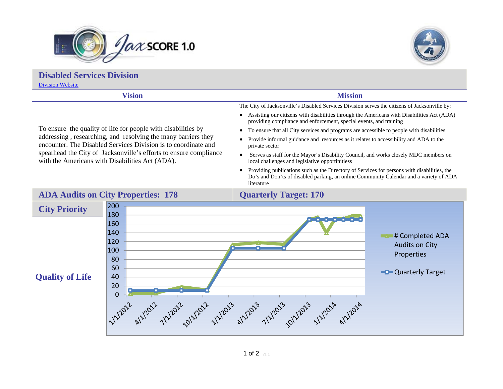



| <b>Disabled Services Division</b><br><b>Division Website</b>                                                                                                                                                                                                                                                             |                                                                                                                                                                                                                                                                                                                                                                                                                                                                                                                                                                                                                                                                                                                                                                                                                            |  |
|--------------------------------------------------------------------------------------------------------------------------------------------------------------------------------------------------------------------------------------------------------------------------------------------------------------------------|----------------------------------------------------------------------------------------------------------------------------------------------------------------------------------------------------------------------------------------------------------------------------------------------------------------------------------------------------------------------------------------------------------------------------------------------------------------------------------------------------------------------------------------------------------------------------------------------------------------------------------------------------------------------------------------------------------------------------------------------------------------------------------------------------------------------------|--|
| <b>Vision</b>                                                                                                                                                                                                                                                                                                            | <b>Mission</b>                                                                                                                                                                                                                                                                                                                                                                                                                                                                                                                                                                                                                                                                                                                                                                                                             |  |
| To ensure the quality of life for people with disabilities by<br>addressing, researching, and resolving the many barriers they<br>encounter. The Disabled Services Division is to coordinate and<br>spearhead the City of Jacksonville's efforts to ensure compliance<br>with the Americans with Disabilities Act (ADA). | The City of Jacksonville's Disabled Services Division serves the citizens of Jacksonville by:<br>Assisting our citizens with disabilities through the Americans with Disabilities Act (ADA)<br>providing compliance and enforcement, special events, and training<br>To ensure that all City services and programs are accessible to people with disabilities<br>Provide informal guidance and resources as it relates to accessibility and ADA to the<br>private sector<br>Serves as staff for the Mayor's Disability Council, and works closely MDC members on<br>local challenges and legislative opportinitiess<br>Providing publications such as the Directory of Services for persons with disabilities, the<br>Do's and Don'ts of disabled parking, an online Community Calendar and a variety of ADA<br>literature |  |
| <b>ADA Audits on City Properties: 178</b>                                                                                                                                                                                                                                                                                | <b>Quarterly Target: 170</b>                                                                                                                                                                                                                                                                                                                                                                                                                                                                                                                                                                                                                                                                                                                                                                                               |  |
| 200<br><b>City Priority</b><br>180<br>160<br>140<br>120<br>100<br>80<br>60<br><b>Quality of Life</b><br>40<br>20<br>$\overline{0}$                                                                                                                                                                                       | فكقطفص<br># Completed ADA<br><b>Audits on City</b><br>Properties<br><b>Quarterly Target</b><br>1/1/2012 alv12012 1/1/2012 1/1/2013 alv12013 1/1/2013 1/1/2013 1/1/2014 alv12014                                                                                                                                                                                                                                                                                                                                                                                                                                                                                                                                                                                                                                            |  |